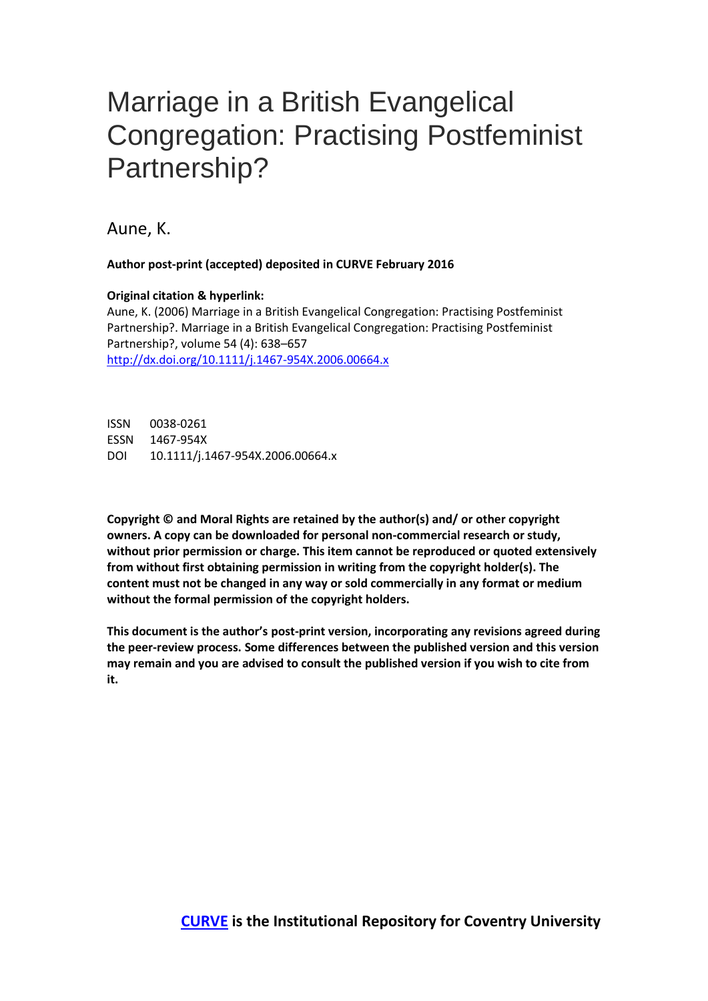## Marriage in a British Evangelical Congregation: Practising Postfeminist Partnership?

Aune, K.

**Author post-print (accepted) deposited in CURVE February 2016**

**Original citation & hyperlink:**

Aune, K. (2006) Marriage in a British Evangelical Congregation: Practising Postfeminist Partnership?. Marriage in a British Evangelical Congregation: Practising Postfeminist Partnership?, volume 54 (4): 638–657 <http://dx.doi.org/10.1111/j.1467-954X.2006.00664.x>

ISSN 0038-0261 ESSN 1467-954X DOI 10.1111/j.1467-954X.2006.00664.x

**Copyright © and Moral Rights are retained by the author(s) and/ or other copyright owners. A copy can be downloaded for personal non-commercial research or study, without prior permission or charge. This item cannot be reproduced or quoted extensively from without first obtaining permission in writing from the copyright holder(s). The content must not be changed in any way or sold commercially in any format or medium without the formal permission of the copyright holders.** 

**This document is the author's post-print version, incorporating any revisions agreed during the peer-review process. Some differences between the published version and this version may remain and you are advised to consult the published version if you wish to cite from it.**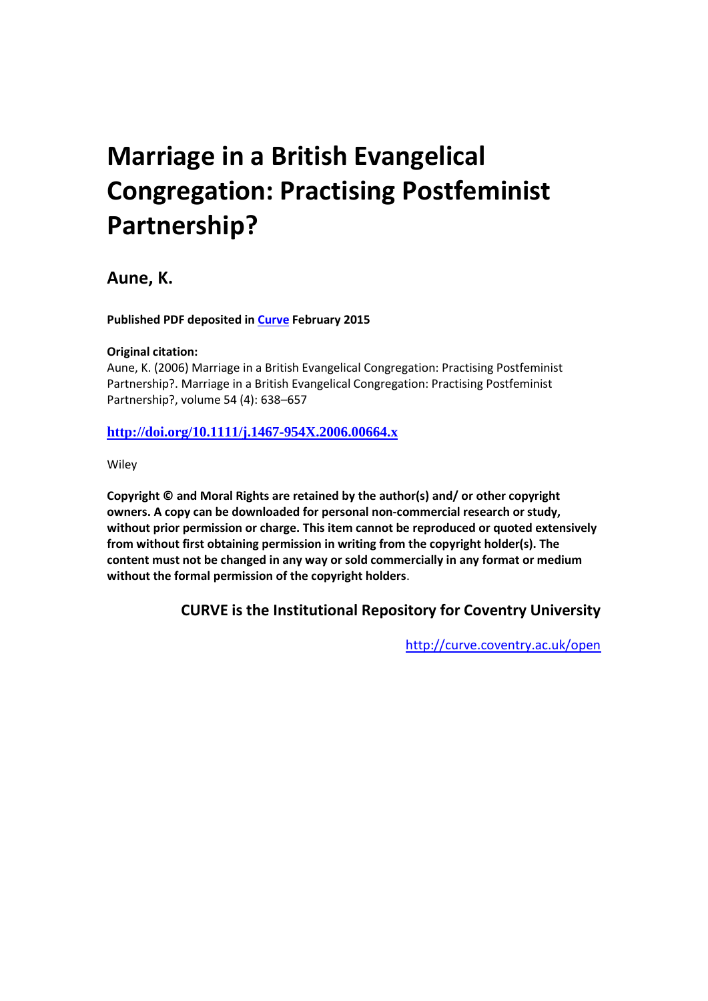# **Marriage in a British Evangelical Congregation: Practising Postfeminist Partnership?**

**Aune, K.**

**Published PDF deposited in [Curve](http://curve.coventry.ac.uk/open) February 2015**

#### **Original citation:**

Aune, K. (2006) Marriage in a British Evangelical Congregation: Practising Postfeminist Partnership?. Marriage in a British Evangelical Congregation: Practising Postfeminist Partnership?, volume 54 (4): 638–657

#### **[http://doi.org/10.1111/j.1467-954X.2006.00664.x](http://doi.org/10.18352/rg.10122)**

**Wiley** 

**Copyright © and Moral Rights are retained by the author(s) and/ or other copyright owners. A copy can be downloaded for personal non-commercial research or study, without prior permission or charge. This item cannot be reproduced or quoted extensively from without first obtaining permission in writing from the copyright holder(s). The content must not be changed in any way or sold commercially in any format or medium without the formal permission of the copyright holders**.

## **CURVE is the Institutional Repository for Coventry University**

<http://curve.coventry.ac.uk/open>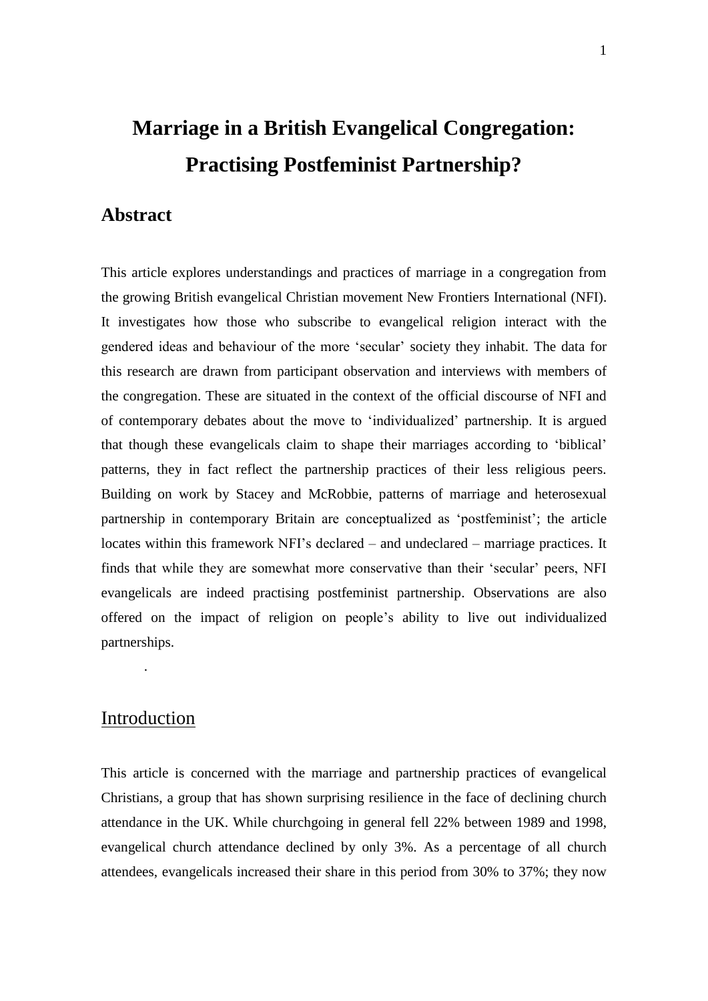## **Marriage in a British Evangelical Congregation: Practising Postfeminist Partnership?**

## **Abstract**

This article explores understandings and practices of marriage in a congregation from the growing British evangelical Christian movement New Frontiers International (NFI). It investigates how those who subscribe to evangelical religion interact with the gendered ideas and behaviour of the more 'secular' society they inhabit. The data for this research are drawn from participant observation and interviews with members of the congregation. These are situated in the context of the official discourse of NFI and of contemporary debates about the move to 'individualized' partnership. It is argued that though these evangelicals claim to shape their marriages according to 'biblical' patterns, they in fact reflect the partnership practices of their less religious peers. Building on work by Stacey and McRobbie, patterns of marriage and heterosexual partnership in contemporary Britain are conceptualized as 'postfeminist'; the article locates within this framework NFI's declared – and undeclared – marriage practices. It finds that while they are somewhat more conservative than their 'secular' peers, NFI evangelicals are indeed practising postfeminist partnership. Observations are also offered on the impact of religion on people's ability to live out individualized partnerships.

## **Introduction**

.

This article is concerned with the marriage and partnership practices of evangelical Christians, a group that has shown surprising resilience in the face of declining church attendance in the UK. While churchgoing in general fell 22% between 1989 and 1998, evangelical church attendance declined by only 3%. As a percentage of all church attendees, evangelicals increased their share in this period from 30% to 37%; they now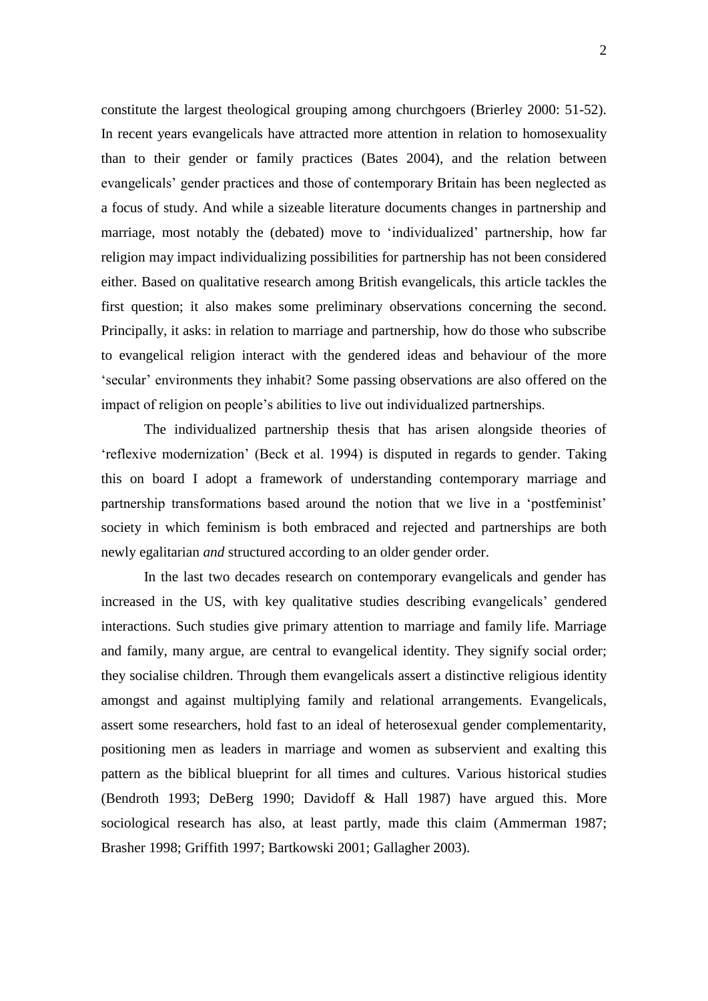constitute the largest theological grouping among churchgoers (Brierley 2000: 51-52). In recent years evangelicals have attracted more attention in relation to homosexuality than to their gender or family practices (Bates 2004), and the relation between evangelicals' gender practices and those of contemporary Britain has been neglected as a focus of study. And while a sizeable literature documents changes in partnership and marriage, most notably the (debated) move to 'individualized' partnership, how far religion may impact individualizing possibilities for partnership has not been considered either. Based on qualitative research among British evangelicals, this article tackles the first question; it also makes some preliminary observations concerning the second. Principally, it asks: in relation to marriage and partnership, how do those who subscribe to evangelical religion interact with the gendered ideas and behaviour of the more 'secular' environments they inhabit? Some passing observations are also offered on the impact of religion on people's abilities to live out individualized partnerships.

The individualized partnership thesis that has arisen alongside theories of 'reflexive modernization' (Beck et al. 1994) is disputed in regards to gender. Taking this on board I adopt a framework of understanding contemporary marriage and partnership transformations based around the notion that we live in a 'postfeminist' society in which feminism is both embraced and rejected and partnerships are both newly egalitarian *and* structured according to an older gender order.

In the last two decades research on contemporary evangelicals and gender has increased in the US, with key qualitative studies describing evangelicals' gendered interactions. Such studies give primary attention to marriage and family life. Marriage and family, many argue, are central to evangelical identity. They signify social order; they socialise children. Through them evangelicals assert a distinctive religious identity amongst and against multiplying family and relational arrangements. Evangelicals, assert some researchers, hold fast to an ideal of heterosexual gender complementarity, positioning men as leaders in marriage and women as subservient and exalting this pattern as the biblical blueprint for all times and cultures. Various historical studies (Bendroth 1993; DeBerg 1990; Davidoff & Hall 1987) have argued this. More sociological research has also, at least partly, made this claim (Ammerman 1987; Brasher 1998; Griffith 1997; Bartkowski 2001; Gallagher 2003).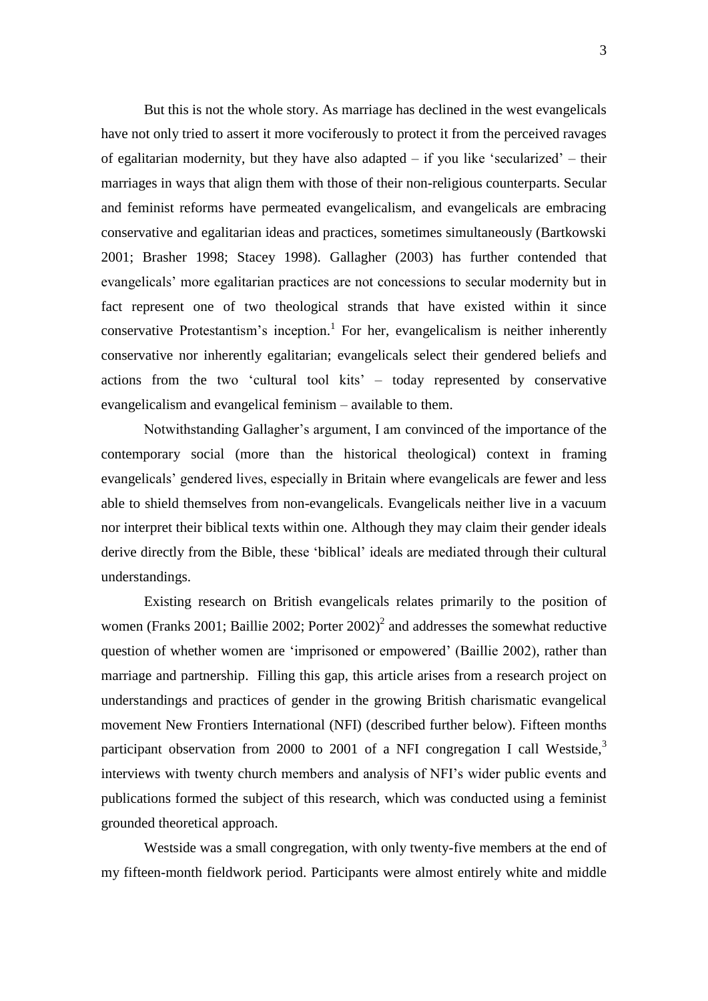But this is not the whole story. As marriage has declined in the west evangelicals have not only tried to assert it more vociferously to protect it from the perceived ravages of egalitarian modernity, but they have also adapted – if you like 'secularized' – their marriages in ways that align them with those of their non-religious counterparts. Secular and feminist reforms have permeated evangelicalism, and evangelicals are embracing conservative and egalitarian ideas and practices, sometimes simultaneously (Bartkowski 2001; Brasher 1998; Stacey 1998). Gallagher (2003) has further contended that evangelicals' more egalitarian practices are not concessions to secular modernity but in fact represent one of two theological strands that have existed within it since conservative Protestantism's inception. 1 For her, evangelicalism is neither inherently conservative nor inherently egalitarian; evangelicals select their gendered beliefs and actions from the two 'cultural tool kits' – today represented by conservative evangelicalism and evangelical feminism – available to them.

Notwithstanding Gallagher's argument, I am convinced of the importance of the contemporary social (more than the historical theological) context in framing evangelicals' gendered lives, especially in Britain where evangelicals are fewer and less able to shield themselves from non-evangelicals. Evangelicals neither live in a vacuum nor interpret their biblical texts within one. Although they may claim their gender ideals derive directly from the Bible, these 'biblical' ideals are mediated through their cultural understandings.

Existing research on British evangelicals relates primarily to the position of women (Franks 2001; Baillie 2002; Porter 2002)<sup>2</sup> and addresses the somewhat reductive question of whether women are 'imprisoned or empowered' (Baillie 2002), rather than marriage and partnership. Filling this gap, this article arises from a research project on understandings and practices of gender in the growing British charismatic evangelical movement New Frontiers International (NFI) (described further below). Fifteen months participant observation from 2000 to 2001 of a NFI congregation I call Westside, $3$ interviews with twenty church members and analysis of NFI's wider public events and publications formed the subject of this research, which was conducted using a feminist grounded theoretical approach.

Westside was a small congregation, with only twenty-five members at the end of my fifteen-month fieldwork period. Participants were almost entirely white and middle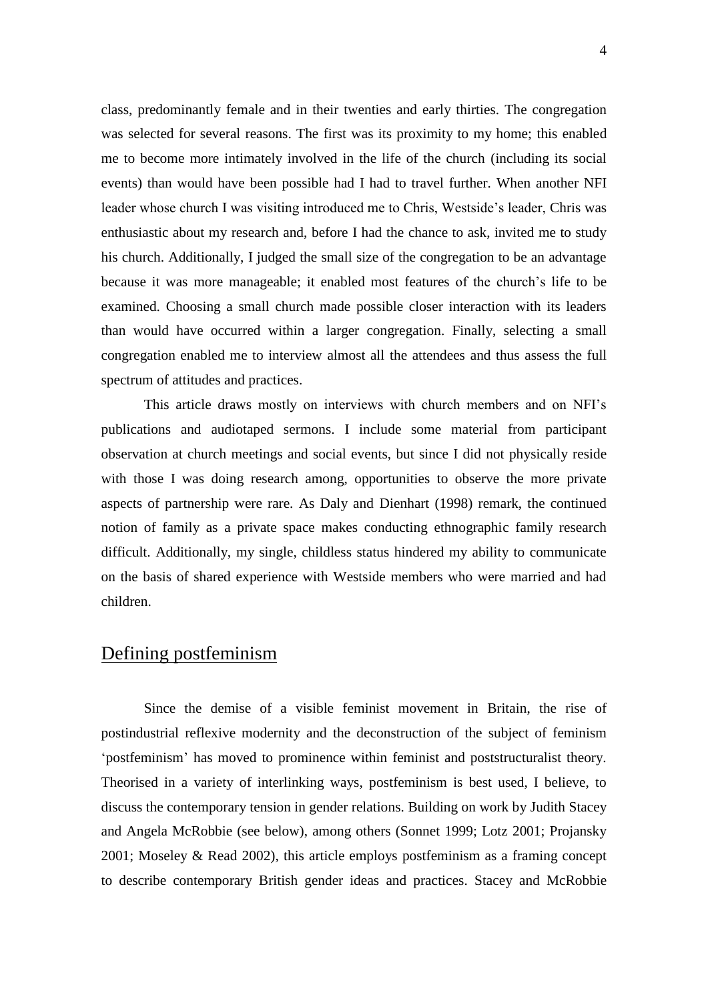class, predominantly female and in their twenties and early thirties. The congregation was selected for several reasons. The first was its proximity to my home; this enabled me to become more intimately involved in the life of the church (including its social events) than would have been possible had I had to travel further. When another NFI leader whose church I was visiting introduced me to Chris, Westside's leader, Chris was enthusiastic about my research and, before I had the chance to ask, invited me to study his church. Additionally, I judged the small size of the congregation to be an advantage because it was more manageable; it enabled most features of the church's life to be examined. Choosing a small church made possible closer interaction with its leaders than would have occurred within a larger congregation. Finally, selecting a small congregation enabled me to interview almost all the attendees and thus assess the full spectrum of attitudes and practices.

This article draws mostly on interviews with church members and on NFI's publications and audiotaped sermons. I include some material from participant observation at church meetings and social events, but since I did not physically reside with those I was doing research among, opportunities to observe the more private aspects of partnership were rare. As Daly and Dienhart (1998) remark, the continued notion of family as a private space makes conducting ethnographic family research difficult. Additionally, my single, childless status hindered my ability to communicate on the basis of shared experience with Westside members who were married and had children.

## Defining postfeminism

Since the demise of a visible feminist movement in Britain, the rise of postindustrial reflexive modernity and the deconstruction of the subject of feminism 'postfeminism' has moved to prominence within feminist and poststructuralist theory. Theorised in a variety of interlinking ways, postfeminism is best used, I believe, to discuss the contemporary tension in gender relations. Building on work by Judith Stacey and Angela McRobbie (see below), among others (Sonnet 1999; Lotz 2001; Projansky 2001; Moseley & Read 2002), this article employs postfeminism as a framing concept to describe contemporary British gender ideas and practices. Stacey and McRobbie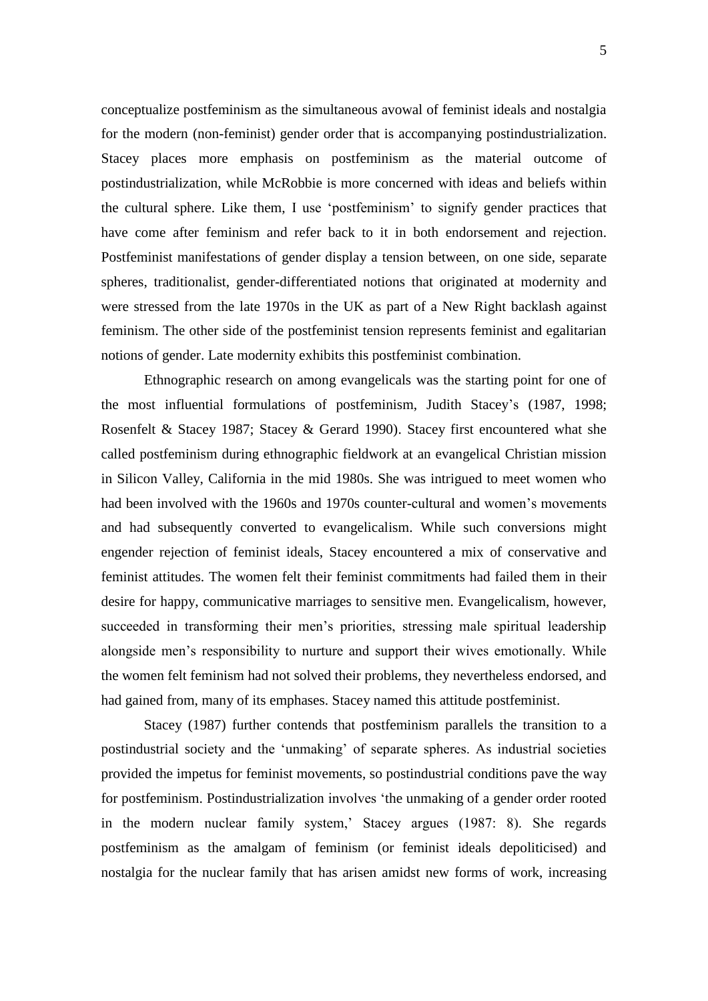conceptualize postfeminism as the simultaneous avowal of feminist ideals and nostalgia for the modern (non-feminist) gender order that is accompanying postindustrialization. Stacey places more emphasis on postfeminism as the material outcome of postindustrialization, while McRobbie is more concerned with ideas and beliefs within the cultural sphere. Like them, I use 'postfeminism' to signify gender practices that have come after feminism and refer back to it in both endorsement and rejection. Postfeminist manifestations of gender display a tension between, on one side, separate spheres, traditionalist, gender-differentiated notions that originated at modernity and were stressed from the late 1970s in the UK as part of a New Right backlash against feminism. The other side of the postfeminist tension represents feminist and egalitarian notions of gender. Late modernity exhibits this postfeminist combination.

Ethnographic research on among evangelicals was the starting point for one of the most influential formulations of postfeminism, Judith Stacey's (1987, 1998; Rosenfelt & Stacey 1987; Stacey & Gerard 1990). Stacey first encountered what she called postfeminism during ethnographic fieldwork at an evangelical Christian mission in Silicon Valley, California in the mid 1980s. She was intrigued to meet women who had been involved with the 1960s and 1970s counter-cultural and women's movements and had subsequently converted to evangelicalism. While such conversions might engender rejection of feminist ideals, Stacey encountered a mix of conservative and feminist attitudes. The women felt their feminist commitments had failed them in their desire for happy, communicative marriages to sensitive men. Evangelicalism, however, succeeded in transforming their men's priorities, stressing male spiritual leadership alongside men's responsibility to nurture and support their wives emotionally. While the women felt feminism had not solved their problems, they nevertheless endorsed, and had gained from, many of its emphases. Stacey named this attitude postfeminist.

Stacey (1987) further contends that postfeminism parallels the transition to a postindustrial society and the 'unmaking' of separate spheres. As industrial societies provided the impetus for feminist movements, so postindustrial conditions pave the way for postfeminism. Postindustrialization involves 'the unmaking of a gender order rooted in the modern nuclear family system,' Stacey argues (1987: 8). She regards postfeminism as the amalgam of feminism (or feminist ideals depoliticised) and nostalgia for the nuclear family that has arisen amidst new forms of work, increasing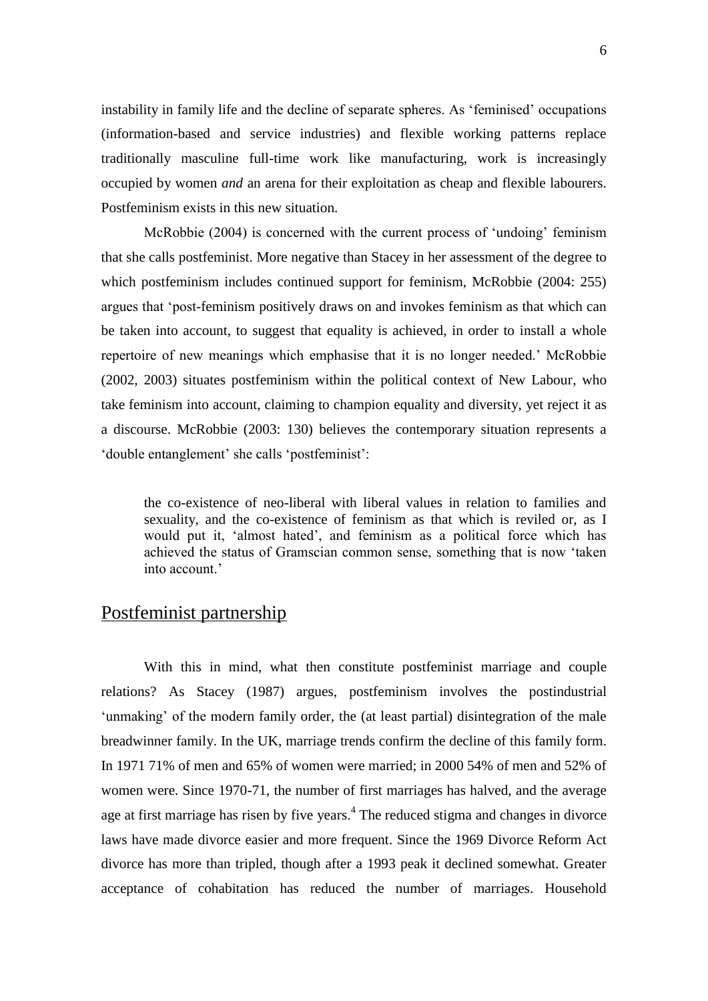instability in family life and the decline of separate spheres. As 'feminised' occupations (information-based and service industries) and flexible working patterns replace traditionally masculine full-time work like manufacturing, work is increasingly occupied by women *and* an arena for their exploitation as cheap and flexible labourers. Postfeminism exists in this new situation.

McRobbie (2004) is concerned with the current process of 'undoing' feminism that she calls postfeminist. More negative than Stacey in her assessment of the degree to which postfeminism includes continued support for feminism, McRobbie (2004: 255) argues that 'post-feminism positively draws on and invokes feminism as that which can be taken into account, to suggest that equality is achieved, in order to install a whole repertoire of new meanings which emphasise that it is no longer needed.' McRobbie (2002, 2003) situates postfeminism within the political context of New Labour, who take feminism into account, claiming to champion equality and diversity, yet reject it as a discourse. McRobbie (2003: 130) believes the contemporary situation represents a 'double entanglement' she calls 'postfeminist':

the co-existence of neo-liberal with liberal values in relation to families and sexuality, and the co-existence of feminism as that which is reviled or, as I would put it, 'almost hated', and feminism as a political force which has achieved the status of Gramscian common sense, something that is now 'taken into account.'

## Postfeminist partnership

With this in mind, what then constitute postfeminist marriage and couple relations? As Stacey (1987) argues, postfeminism involves the postindustrial 'unmaking' of the modern family order, the (at least partial) disintegration of the male breadwinner family. In the UK, marriage trends confirm the decline of this family form. In 1971 71% of men and 65% of women were married; in 2000 54% of men and 52% of women were. Since 1970-71, the number of first marriages has halved, and the average age at first marriage has risen by five years.<sup>4</sup> The reduced stigma and changes in divorce laws have made divorce easier and more frequent. Since the 1969 Divorce Reform Act divorce has more than tripled, though after a 1993 peak it declined somewhat. Greater acceptance of cohabitation has reduced the number of marriages. Household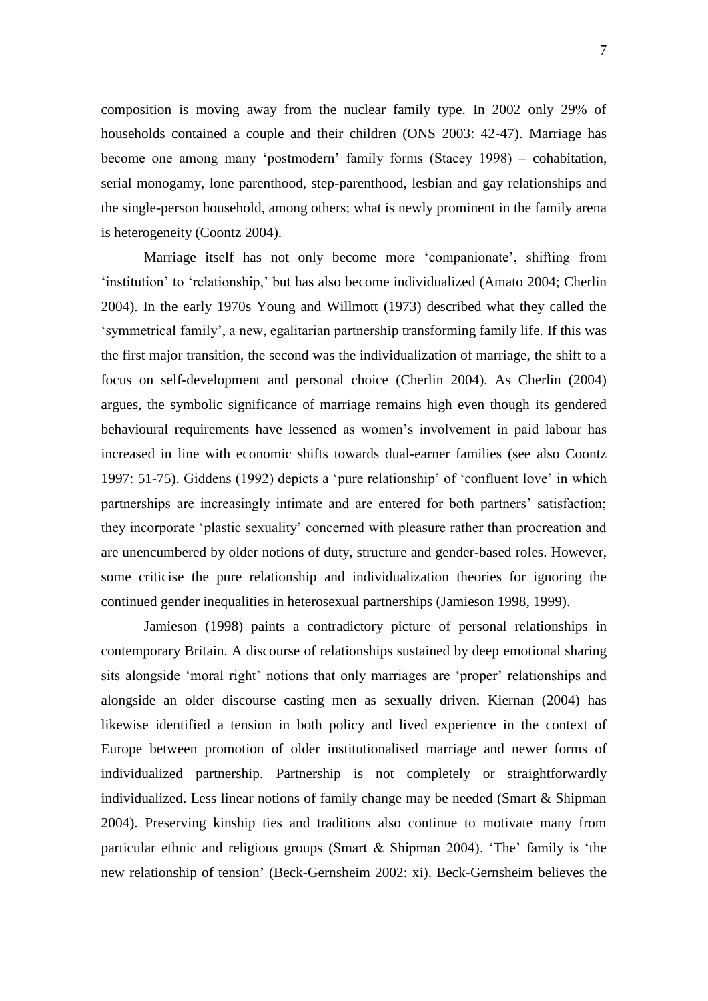7

composition is moving away from the nuclear family type. In 2002 only 29% of households contained a couple and their children (ONS 2003: 42-47). Marriage has become one among many 'postmodern' family forms (Stacey 1998) – cohabitation, serial monogamy, lone parenthood, step-parenthood, lesbian and gay relationships and the single-person household, among others; what is newly prominent in the family arena is heterogeneity (Coontz 2004).

Marriage itself has not only become more 'companionate', shifting from 'institution' to 'relationship,' but has also become individualized (Amato 2004; Cherlin 2004). In the early 1970s Young and Willmott (1973) described what they called the 'symmetrical family', a new, egalitarian partnership transforming family life. If this was the first major transition, the second was the individualization of marriage, the shift to a focus on self-development and personal choice (Cherlin 2004). As Cherlin (2004) argues, the symbolic significance of marriage remains high even though its gendered behavioural requirements have lessened as women's involvement in paid labour has increased in line with economic shifts towards dual-earner families (see also Coontz 1997: 51-75). Giddens (1992) depicts a 'pure relationship' of 'confluent love' in which partnerships are increasingly intimate and are entered for both partners' satisfaction; they incorporate 'plastic sexuality' concerned with pleasure rather than procreation and are unencumbered by older notions of duty, structure and gender-based roles. However, some criticise the pure relationship and individualization theories for ignoring the continued gender inequalities in heterosexual partnerships (Jamieson 1998, 1999).

Jamieson (1998) paints a contradictory picture of personal relationships in contemporary Britain. A discourse of relationships sustained by deep emotional sharing sits alongside 'moral right' notions that only marriages are 'proper' relationships and alongside an older discourse casting men as sexually driven. Kiernan (2004) has likewise identified a tension in both policy and lived experience in the context of Europe between promotion of older institutionalised marriage and newer forms of individualized partnership. Partnership is not completely or straightforwardly individualized. Less linear notions of family change may be needed (Smart & Shipman 2004). Preserving kinship ties and traditions also continue to motivate many from particular ethnic and religious groups (Smart & Shipman 2004). 'The' family is 'the new relationship of tension' (Beck-Gernsheim 2002: xi). Beck-Gernsheim believes the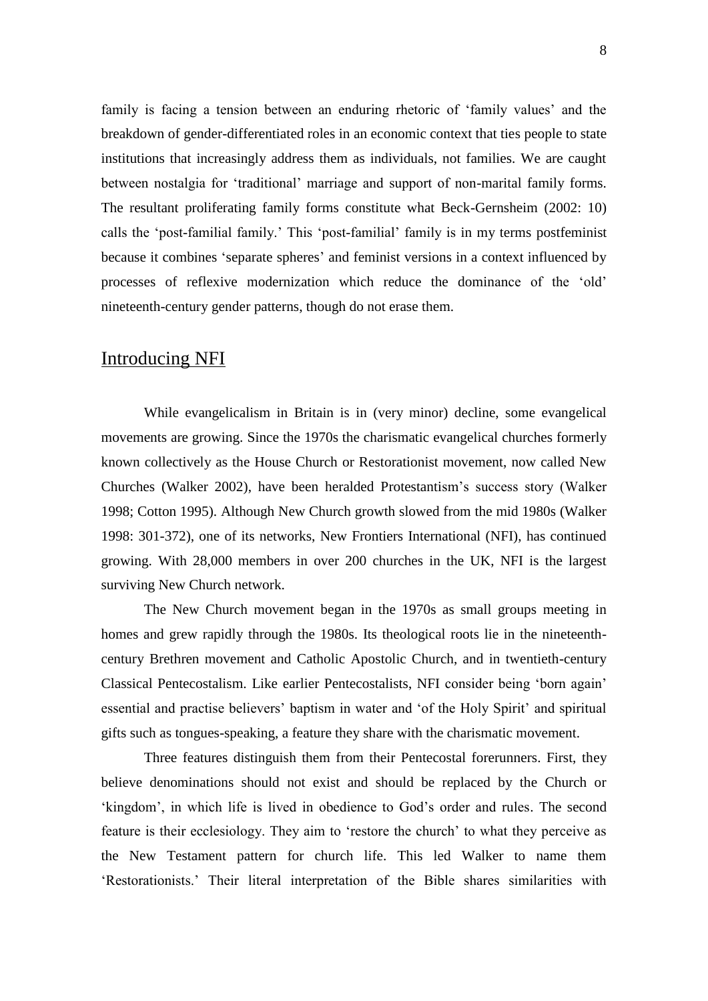family is facing a tension between an enduring rhetoric of 'family values' and the breakdown of gender-differentiated roles in an economic context that ties people to state institutions that increasingly address them as individuals, not families. We are caught between nostalgia for 'traditional' marriage and support of non-marital family forms. The resultant proliferating family forms constitute what Beck-Gernsheim (2002: 10) calls the 'post-familial family.' This 'post-familial' family is in my terms postfeminist because it combines 'separate spheres' and feminist versions in a context influenced by processes of reflexive modernization which reduce the dominance of the 'old' nineteenth-century gender patterns, though do not erase them.

## Introducing NFI

While evangelicalism in Britain is in (very minor) decline, some evangelical movements are growing. Since the 1970s the charismatic evangelical churches formerly known collectively as the House Church or Restorationist movement, now called New Churches (Walker 2002), have been heralded Protestantism's success story (Walker 1998; Cotton 1995). Although New Church growth slowed from the mid 1980s (Walker 1998: 301-372), one of its networks, New Frontiers International (NFI), has continued growing. With 28,000 members in over 200 churches in the UK, NFI is the largest surviving New Church network.

The New Church movement began in the 1970s as small groups meeting in homes and grew rapidly through the 1980s. Its theological roots lie in the nineteenthcentury Brethren movement and Catholic Apostolic Church, and in twentieth-century Classical Pentecostalism. Like earlier Pentecostalists, NFI consider being 'born again' essential and practise believers' baptism in water and 'of the Holy Spirit' and spiritual gifts such as tongues-speaking, a feature they share with the charismatic movement.

Three features distinguish them from their Pentecostal forerunners. First, they believe denominations should not exist and should be replaced by the Church or 'kingdom', in which life is lived in obedience to God's order and rules. The second feature is their ecclesiology. They aim to 'restore the church' to what they perceive as the New Testament pattern for church life. This led Walker to name them 'Restorationists.' Their literal interpretation of the Bible shares similarities with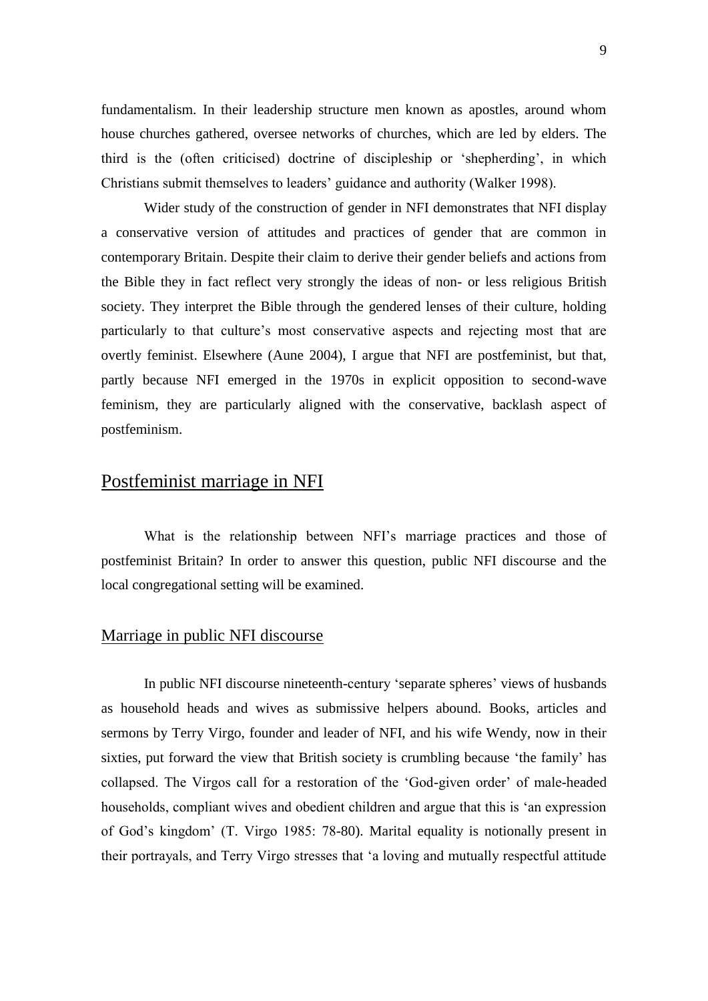fundamentalism. In their leadership structure men known as apostles, around whom house churches gathered, oversee networks of churches, which are led by elders. The third is the (often criticised) doctrine of discipleship or 'shepherding', in which Christians submit themselves to leaders' guidance and authority (Walker 1998).

Wider study of the construction of gender in NFI demonstrates that NFI display a conservative version of attitudes and practices of gender that are common in contemporary Britain. Despite their claim to derive their gender beliefs and actions from the Bible they in fact reflect very strongly the ideas of non- or less religious British society. They interpret the Bible through the gendered lenses of their culture, holding particularly to that culture's most conservative aspects and rejecting most that are overtly feminist. Elsewhere (Aune 2004), I argue that NFI are postfeminist, but that, partly because NFI emerged in the 1970s in explicit opposition to second-wave feminism, they are particularly aligned with the conservative, backlash aspect of postfeminism.

## Postfeminist marriage in NFI

What is the relationship between NFI's marriage practices and those of postfeminist Britain? In order to answer this question, public NFI discourse and the local congregational setting will be examined.

### Marriage in public NFI discourse

In public NFI discourse nineteenth-century 'separate spheres' views of husbands as household heads and wives as submissive helpers abound. Books, articles and sermons by Terry Virgo, founder and leader of NFI, and his wife Wendy, now in their sixties, put forward the view that British society is crumbling because 'the family' has collapsed. The Virgos call for a restoration of the 'God-given order' of male-headed households, compliant wives and obedient children and argue that this is 'an expression of God's kingdom' (T. Virgo 1985: 78-80). Marital equality is notionally present in their portrayals, and Terry Virgo stresses that 'a loving and mutually respectful attitude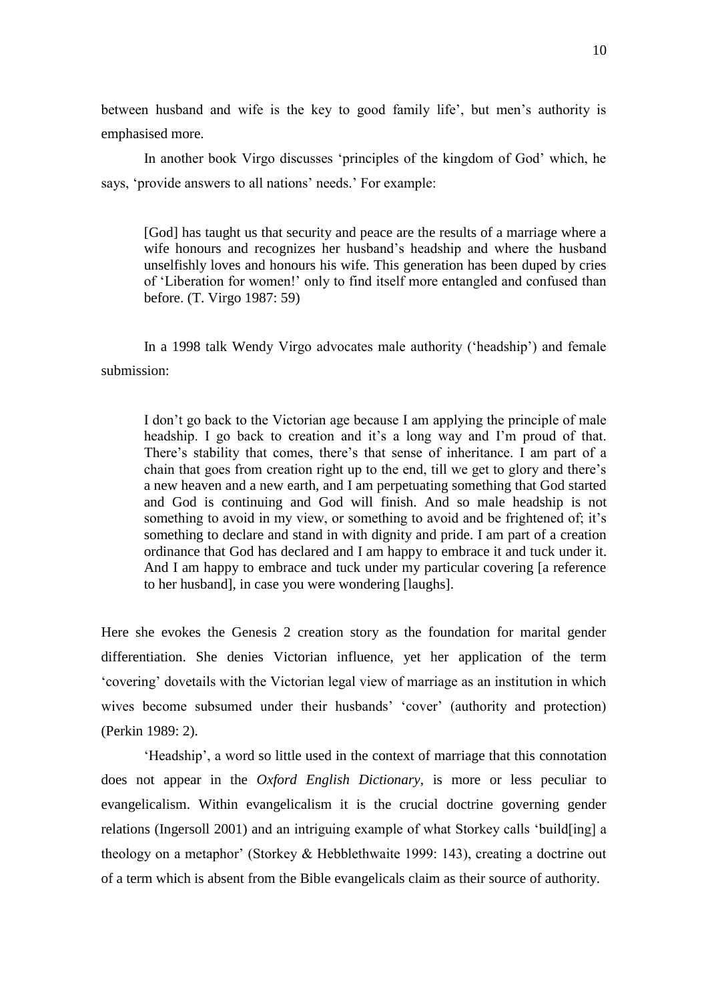between husband and wife is the key to good family life', but men's authority is emphasised more.

In another book Virgo discusses 'principles of the kingdom of God' which, he says, 'provide answers to all nations' needs.' For example:

[God] has taught us that security and peace are the results of a marriage where a wife honours and recognizes her husband's headship and where the husband unselfishly loves and honours his wife. This generation has been duped by cries of 'Liberation for women!' only to find itself more entangled and confused than before. (T. Virgo 1987: 59)

In a 1998 talk Wendy Virgo advocates male authority ('headship') and female submission:

I don't go back to the Victorian age because I am applying the principle of male headship. I go back to creation and it's a long way and I'm proud of that. There's stability that comes, there's that sense of inheritance. I am part of a chain that goes from creation right up to the end, till we get to glory and there's a new heaven and a new earth, and I am perpetuating something that God started and God is continuing and God will finish. And so male headship is not something to avoid in my view, or something to avoid and be frightened of; it's something to declare and stand in with dignity and pride. I am part of a creation ordinance that God has declared and I am happy to embrace it and tuck under it. And I am happy to embrace and tuck under my particular covering [a reference to her husband], in case you were wondering [laughs].

Here she evokes the Genesis 2 creation story as the foundation for marital gender differentiation. She denies Victorian influence, yet her application of the term 'covering' dovetails with the Victorian legal view of marriage as an institution in which wives become subsumed under their husbands' 'cover' (authority and protection) (Perkin 1989: 2).

'Headship', a word so little used in the context of marriage that this connotation does not appear in the *Oxford English Dictionary*, is more or less peculiar to evangelicalism. Within evangelicalism it is the crucial doctrine governing gender relations (Ingersoll 2001) and an intriguing example of what Storkey calls 'build[ing] a theology on a metaphor' (Storkey & Hebblethwaite 1999: 143), creating a doctrine out of a term which is absent from the Bible evangelicals claim as their source of authority.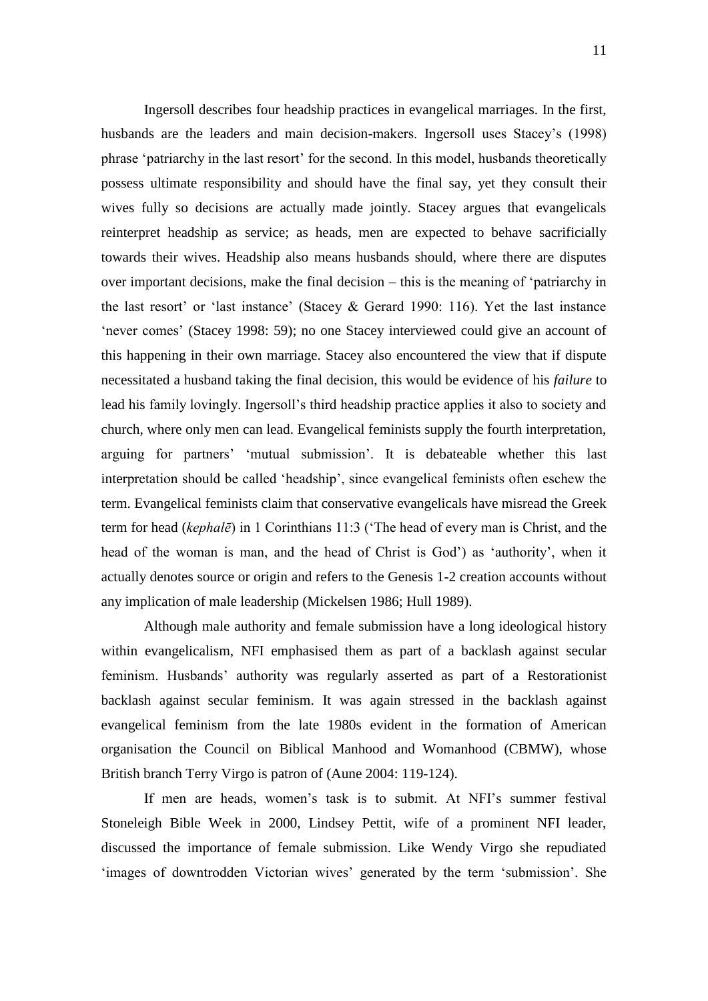Ingersoll describes four headship practices in evangelical marriages. In the first, husbands are the leaders and main decision-makers. Ingersoll uses Stacey's (1998) phrase 'patriarchy in the last resort' for the second. In this model, husbands theoretically possess ultimate responsibility and should have the final say, yet they consult their wives fully so decisions are actually made jointly. Stacey argues that evangelicals reinterpret headship as service; as heads, men are expected to behave sacrificially towards their wives. Headship also means husbands should, where there are disputes over important decisions, make the final decision – this is the meaning of 'patriarchy in the last resort' or 'last instance' (Stacey & Gerard 1990: 116). Yet the last instance 'never comes' (Stacey 1998: 59); no one Stacey interviewed could give an account of this happening in their own marriage. Stacey also encountered the view that if dispute necessitated a husband taking the final decision, this would be evidence of his *failure* to lead his family lovingly. Ingersoll's third headship practice applies it also to society and church, where only men can lead. Evangelical feminists supply the fourth interpretation, arguing for partners' 'mutual submission'. It is debateable whether this last interpretation should be called 'headship', since evangelical feminists often eschew the term. Evangelical feminists claim that conservative evangelicals have misread the Greek term for head (*kephalē*) in 1 Corinthians 11:3 ('The head of every man is Christ, and the head of the woman is man, and the head of Christ is God') as 'authority', when it actually denotes source or origin and refers to the Genesis 1-2 creation accounts without any implication of male leadership (Mickelsen 1986; Hull 1989).

Although male authority and female submission have a long ideological history within evangelicalism, NFI emphasised them as part of a backlash against secular feminism. Husbands' authority was regularly asserted as part of a Restorationist backlash against secular feminism. It was again stressed in the backlash against evangelical feminism from the late 1980s evident in the formation of American organisation the Council on Biblical Manhood and Womanhood (CBMW), whose British branch Terry Virgo is patron of (Aune 2004: 119-124).

If men are heads, women's task is to submit. At NFI's summer festival Stoneleigh Bible Week in 2000, Lindsey Pettit, wife of a prominent NFI leader, discussed the importance of female submission. Like Wendy Virgo she repudiated 'images of downtrodden Victorian wives' generated by the term 'submission'. She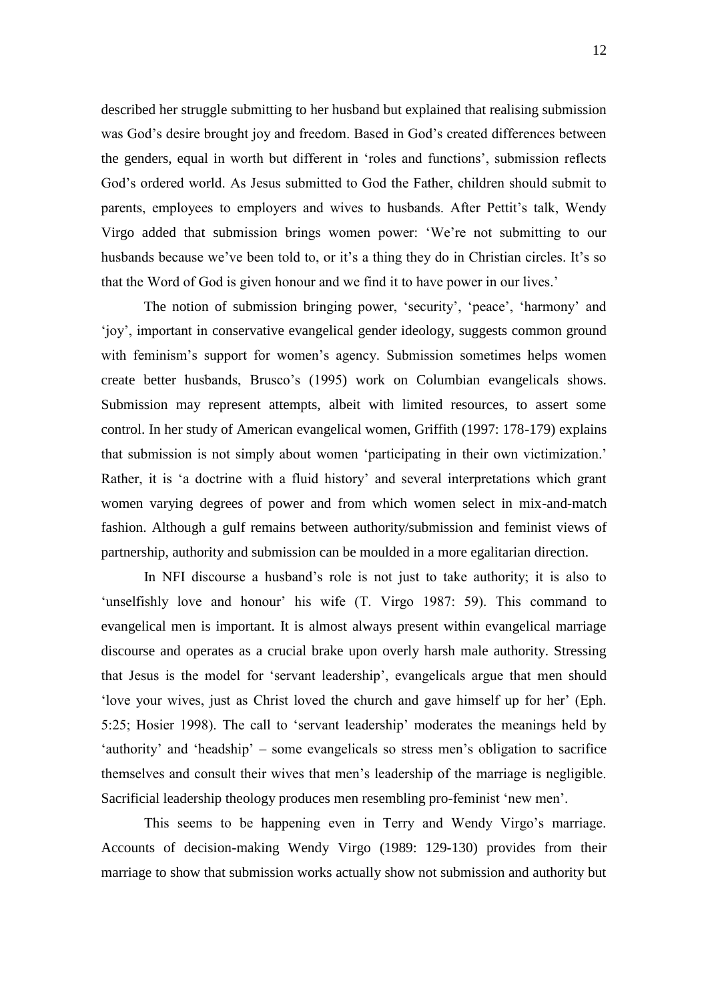described her struggle submitting to her husband but explained that realising submission was God's desire brought joy and freedom. Based in God's created differences between the genders, equal in worth but different in 'roles and functions', submission reflects God's ordered world. As Jesus submitted to God the Father, children should submit to parents, employees to employers and wives to husbands. After Pettit's talk, Wendy Virgo added that submission brings women power: 'We're not submitting to our husbands because we've been told to, or it's a thing they do in Christian circles. It's so that the Word of God is given honour and we find it to have power in our lives.'

The notion of submission bringing power, 'security', 'peace', 'harmony' and 'joy', important in conservative evangelical gender ideology, suggests common ground with feminism's support for women's agency. Submission sometimes helps women create better husbands, Brusco's (1995) work on Columbian evangelicals shows. Submission may represent attempts, albeit with limited resources, to assert some control. In her study of American evangelical women, Griffith (1997: 178-179) explains that submission is not simply about women 'participating in their own victimization.' Rather, it is 'a doctrine with a fluid history' and several interpretations which grant women varying degrees of power and from which women select in mix-and-match fashion. Although a gulf remains between authority/submission and feminist views of partnership, authority and submission can be moulded in a more egalitarian direction.

In NFI discourse a husband's role is not just to take authority; it is also to 'unselfishly love and honour' his wife (T. Virgo 1987: 59). This command to evangelical men is important. It is almost always present within evangelical marriage discourse and operates as a crucial brake upon overly harsh male authority. Stressing that Jesus is the model for 'servant leadership', evangelicals argue that men should 'love your wives, just as Christ loved the church and gave himself up for her' (Eph. 5:25; Hosier 1998). The call to 'servant leadership' moderates the meanings held by 'authority' and 'headship' – some evangelicals so stress men's obligation to sacrifice themselves and consult their wives that men's leadership of the marriage is negligible. Sacrificial leadership theology produces men resembling pro-feminist 'new men'.

This seems to be happening even in Terry and Wendy Virgo's marriage. Accounts of decision-making Wendy Virgo (1989: 129-130) provides from their marriage to show that submission works actually show not submission and authority but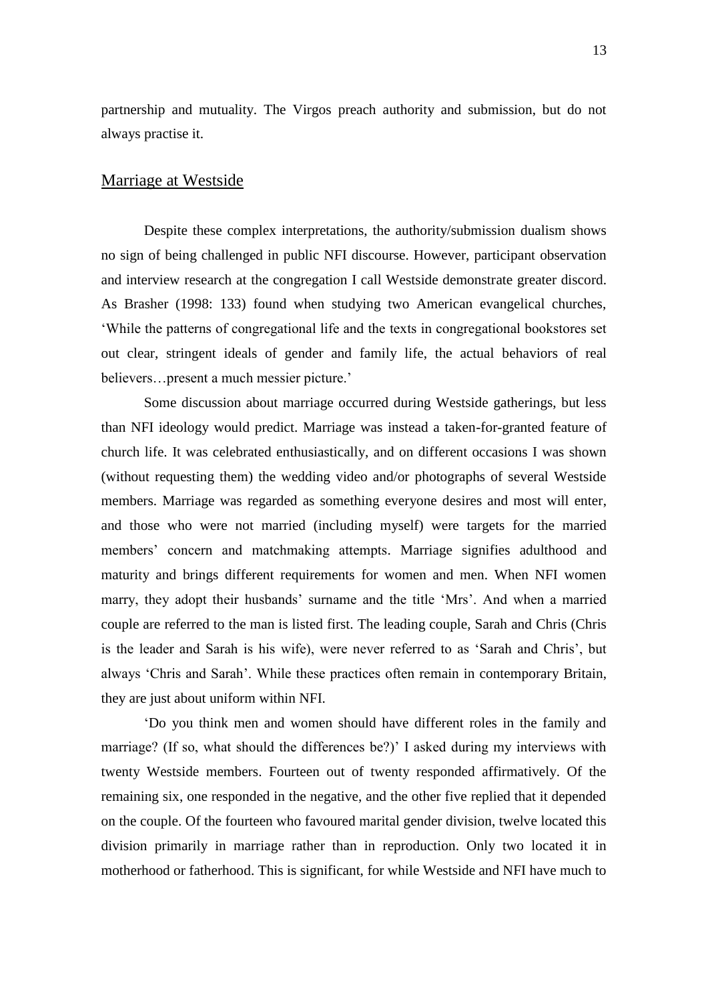partnership and mutuality. The Virgos preach authority and submission, but do not always practise it.

#### Marriage at Westside

Despite these complex interpretations, the authority/submission dualism shows no sign of being challenged in public NFI discourse. However, participant observation and interview research at the congregation I call Westside demonstrate greater discord. As Brasher (1998: 133) found when studying two American evangelical churches, 'While the patterns of congregational life and the texts in congregational bookstores set out clear, stringent ideals of gender and family life, the actual behaviors of real believers…present a much messier picture.'

Some discussion about marriage occurred during Westside gatherings, but less than NFI ideology would predict. Marriage was instead a taken-for-granted feature of church life. It was celebrated enthusiastically, and on different occasions I was shown (without requesting them) the wedding video and/or photographs of several Westside members. Marriage was regarded as something everyone desires and most will enter, and those who were not married (including myself) were targets for the married members' concern and matchmaking attempts. Marriage signifies adulthood and maturity and brings different requirements for women and men. When NFI women marry, they adopt their husbands' surname and the title 'Mrs'. And when a married couple are referred to the man is listed first. The leading couple, Sarah and Chris (Chris is the leader and Sarah is his wife), were never referred to as 'Sarah and Chris', but always 'Chris and Sarah'. While these practices often remain in contemporary Britain, they are just about uniform within NFI.

'Do you think men and women should have different roles in the family and marriage? (If so, what should the differences be?)' I asked during my interviews with twenty Westside members. Fourteen out of twenty responded affirmatively. Of the remaining six, one responded in the negative, and the other five replied that it depended on the couple. Of the fourteen who favoured marital gender division, twelve located this division primarily in marriage rather than in reproduction. Only two located it in motherhood or fatherhood. This is significant, for while Westside and NFI have much to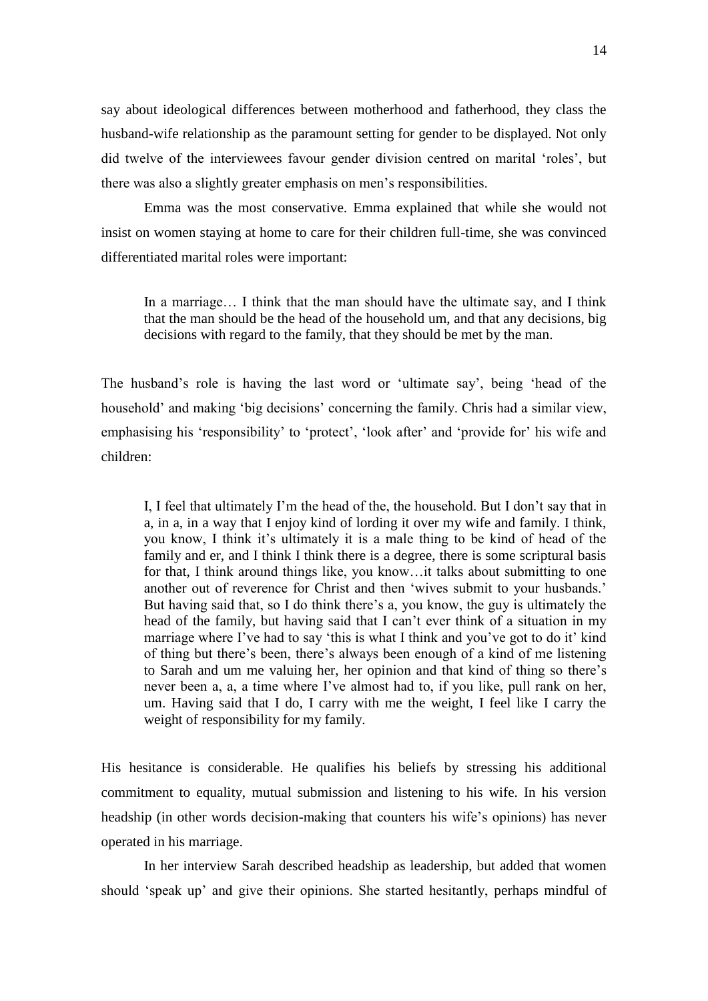say about ideological differences between motherhood and fatherhood, they class the husband-wife relationship as the paramount setting for gender to be displayed. Not only did twelve of the interviewees favour gender division centred on marital 'roles', but there was also a slightly greater emphasis on men's responsibilities.

Emma was the most conservative. Emma explained that while she would not insist on women staying at home to care for their children full-time, she was convinced differentiated marital roles were important:

In a marriage... I think that the man should have the ultimate say, and I think that the man should be the head of the household um, and that any decisions, big decisions with regard to the family, that they should be met by the man.

The husband's role is having the last word or 'ultimate say', being 'head of the household' and making 'big decisions' concerning the family. Chris had a similar view, emphasising his 'responsibility' to 'protect', 'look after' and 'provide for' his wife and children:

I, I feel that ultimately I'm the head of the, the household. But I don't say that in a, in a, in a way that I enjoy kind of lording it over my wife and family. I think, you know, I think it's ultimately it is a male thing to be kind of head of the family and er, and I think I think there is a degree, there is some scriptural basis for that, I think around things like, you know…it talks about submitting to one another out of reverence for Christ and then 'wives submit to your husbands.' But having said that, so I do think there's a, you know, the guy is ultimately the head of the family, but having said that I can't ever think of a situation in my marriage where I've had to say 'this is what I think and you've got to do it' kind of thing but there's been, there's always been enough of a kind of me listening to Sarah and um me valuing her, her opinion and that kind of thing so there's never been a, a, a time where I've almost had to, if you like, pull rank on her, um. Having said that I do, I carry with me the weight, I feel like I carry the weight of responsibility for my family.

His hesitance is considerable. He qualifies his beliefs by stressing his additional commitment to equality, mutual submission and listening to his wife. In his version headship (in other words decision-making that counters his wife's opinions) has never operated in his marriage.

In her interview Sarah described headship as leadership, but added that women should 'speak up' and give their opinions. She started hesitantly, perhaps mindful of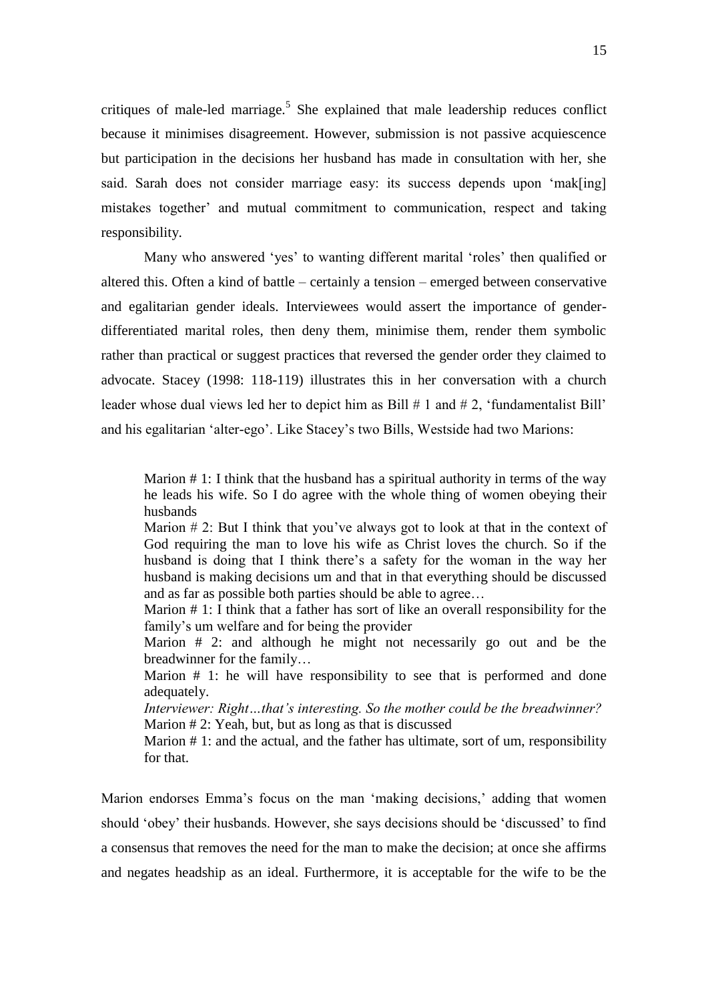critiques of male-led marriage.<sup>5</sup> She explained that male leadership reduces conflict because it minimises disagreement. However, submission is not passive acquiescence but participation in the decisions her husband has made in consultation with her, she said. Sarah does not consider marriage easy: its success depends upon 'mak[ing] mistakes together' and mutual commitment to communication, respect and taking responsibility.

Many who answered 'yes' to wanting different marital 'roles' then qualified or altered this. Often a kind of battle – certainly a tension – emerged between conservative and egalitarian gender ideals. Interviewees would assert the importance of genderdifferentiated marital roles, then deny them, minimise them, render them symbolic rather than practical or suggest practices that reversed the gender order they claimed to advocate. Stacey (1998: 118-119) illustrates this in her conversation with a church leader whose dual views led her to depict him as Bill  $# 1$  and  $# 2$ , 'fundamentalist Bill' and his egalitarian 'alter-ego'. Like Stacey's two Bills, Westside had two Marions:

Marion  $# 1$ : I think that the husband has a spiritual authority in terms of the way he leads his wife. So I do agree with the whole thing of women obeying their husbands

Marion  $# 2$ : But I think that you've always got to look at that in the context of God requiring the man to love his wife as Christ loves the church. So if the husband is doing that I think there's a safety for the woman in the way her husband is making decisions um and that in that everything should be discussed and as far as possible both parties should be able to agree…

Marion # 1: I think that a father has sort of like an overall responsibility for the family's um welfare and for being the provider

Marion # 2: and although he might not necessarily go out and be the breadwinner for the family…

Marion # 1: he will have responsibility to see that is performed and done adequately.

*Interviewer: Right…that's interesting. So the mother could be the breadwinner?* Marion # 2: Yeah, but, but as long as that is discussed

Marion # 1: and the actual, and the father has ultimate, sort of um, responsibility for that.

Marion endorses Emma's focus on the man 'making decisions,' adding that women should 'obey' their husbands. However, she says decisions should be 'discussed' to find a consensus that removes the need for the man to make the decision; at once she affirms and negates headship as an ideal. Furthermore, it is acceptable for the wife to be the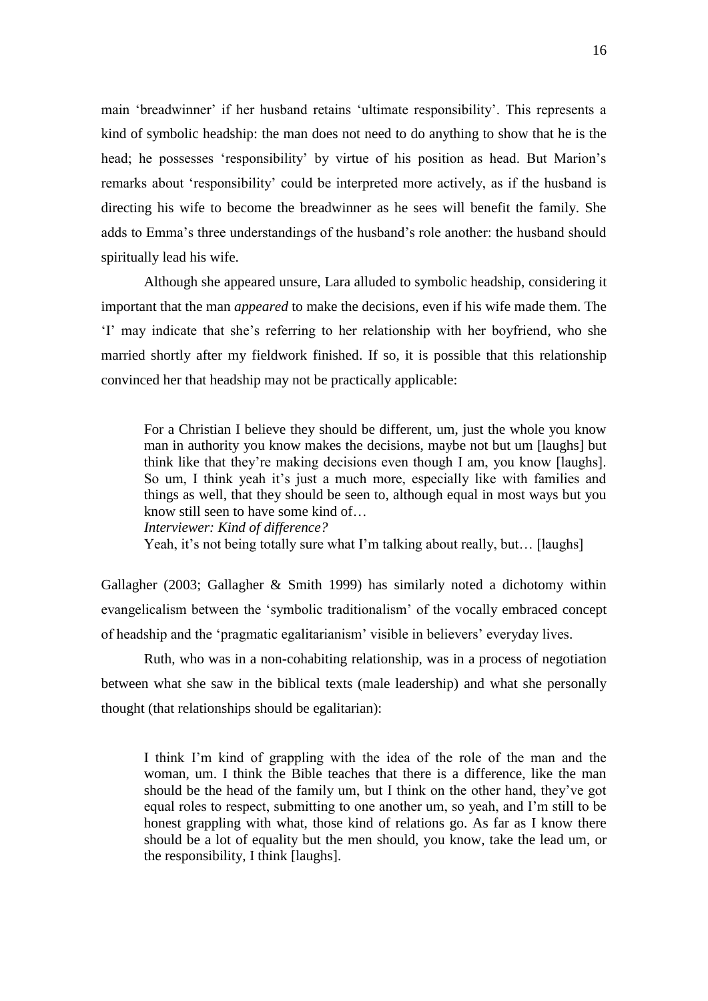main 'breadwinner' if her husband retains 'ultimate responsibility'. This represents a kind of symbolic headship: the man does not need to do anything to show that he is the head; he possesses 'responsibility' by virtue of his position as head. But Marion's remarks about 'responsibility' could be interpreted more actively, as if the husband is directing his wife to become the breadwinner as he sees will benefit the family. She adds to Emma's three understandings of the husband's role another: the husband should spiritually lead his wife.

Although she appeared unsure, Lara alluded to symbolic headship, considering it important that the man *appeared* to make the decisions, even if his wife made them. The 'I' may indicate that she's referring to her relationship with her boyfriend, who she married shortly after my fieldwork finished. If so, it is possible that this relationship convinced her that headship may not be practically applicable:

For a Christian I believe they should be different, um, just the whole you know man in authority you know makes the decisions, maybe not but um [laughs] but think like that they're making decisions even though I am, you know [laughs]. So um, I think yeah it's just a much more, especially like with families and things as well, that they should be seen to, although equal in most ways but you know still seen to have some kind of…

#### *Interviewer: Kind of difference?*

Yeah, it's not being totally sure what I'm talking about really, but... [laughs]

Gallagher (2003; Gallagher & Smith 1999) has similarly noted a dichotomy within evangelicalism between the 'symbolic traditionalism' of the vocally embraced concept of headship and the 'pragmatic egalitarianism' visible in believers' everyday lives.

Ruth, who was in a non-cohabiting relationship, was in a process of negotiation between what she saw in the biblical texts (male leadership) and what she personally thought (that relationships should be egalitarian):

I think I'm kind of grappling with the idea of the role of the man and the woman, um. I think the Bible teaches that there is a difference, like the man should be the head of the family um, but I think on the other hand, they've got equal roles to respect, submitting to one another um, so yeah, and I'm still to be honest grappling with what, those kind of relations go. As far as I know there should be a lot of equality but the men should, you know, take the lead um, or the responsibility, I think [laughs].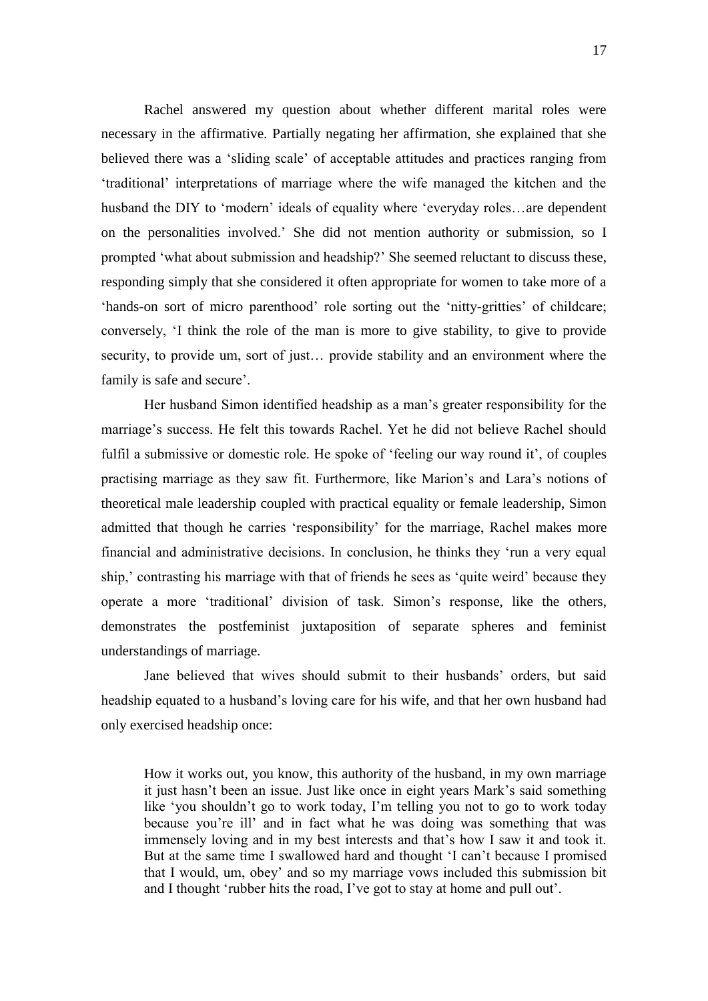Rachel answered my question about whether different marital roles were necessary in the affirmative. Partially negating her affirmation, she explained that she believed there was a 'sliding scale' of acceptable attitudes and practices ranging from 'traditional' interpretations of marriage where the wife managed the kitchen and the husband the DIY to 'modern' ideals of equality where 'everyday roles...are dependent on the personalities involved.' She did not mention authority or submission, so I prompted 'what about submission and headship?' She seemed reluctant to discuss these, responding simply that she considered it often appropriate for women to take more of a 'hands-on sort of micro parenthood' role sorting out the 'nitty-gritties' of childcare; conversely, 'I think the role of the man is more to give stability, to give to provide security, to provide um, sort of just… provide stability and an environment where the family is safe and secure'.

Her husband Simon identified headship as a man's greater responsibility for the marriage's success. He felt this towards Rachel. Yet he did not believe Rachel should fulfil a submissive or domestic role. He spoke of 'feeling our way round it', of couples practising marriage as they saw fit. Furthermore, like Marion's and Lara's notions of theoretical male leadership coupled with practical equality or female leadership, Simon admitted that though he carries 'responsibility' for the marriage, Rachel makes more financial and administrative decisions. In conclusion, he thinks they 'run a very equal ship,' contrasting his marriage with that of friends he sees as 'quite weird' because they operate a more 'traditional' division of task. Simon's response, like the others, demonstrates the postfeminist juxtaposition of separate spheres and feminist understandings of marriage.

Jane believed that wives should submit to their husbands' orders, but said headship equated to a husband's loving care for his wife, and that her own husband had only exercised headship once:

How it works out, you know, this authority of the husband, in my own marriage it just hasn't been an issue. Just like once in eight years Mark's said something like 'you shouldn't go to work today, I'm telling you not to go to work today because you're ill' and in fact what he was doing was something that was immensely loving and in my best interests and that's how I saw it and took it. But at the same time I swallowed hard and thought 'I can't because I promised that I would, um, obey' and so my marriage vows included this submission bit and I thought 'rubber hits the road, I've got to stay at home and pull out'.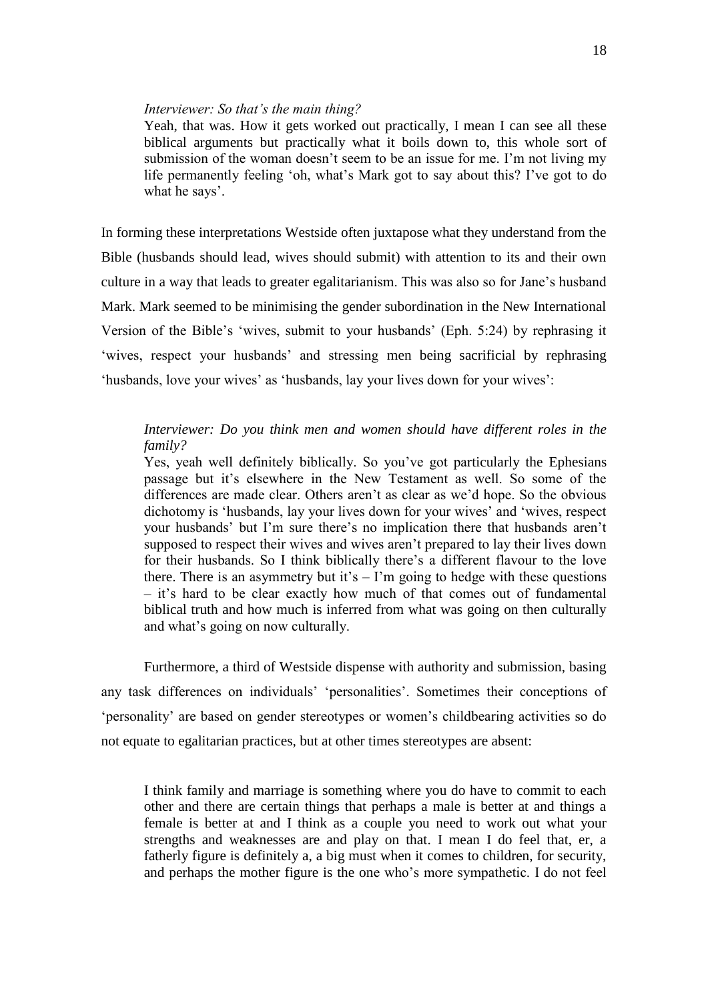#### *Interviewer: So that's the main thing?*

Yeah, that was. How it gets worked out practically, I mean I can see all these biblical arguments but practically what it boils down to, this whole sort of submission of the woman doesn't seem to be an issue for me. I'm not living my life permanently feeling 'oh, what's Mark got to say about this? I've got to do what he says'.

In forming these interpretations Westside often juxtapose what they understand from the Bible (husbands should lead, wives should submit) with attention to its and their own culture in a way that leads to greater egalitarianism. This was also so for Jane's husband Mark. Mark seemed to be minimising the gender subordination in the New International Version of the Bible's 'wives, submit to your husbands' (Eph. 5:24) by rephrasing it 'wives, respect your husbands' and stressing men being sacrificial by rephrasing 'husbands, love your wives' as 'husbands, lay your lives down for your wives':

#### *Interviewer: Do you think men and women should have different roles in the family?*

Yes, yeah well definitely biblically. So you've got particularly the Ephesians passage but it's elsewhere in the New Testament as well. So some of the differences are made clear. Others aren't as clear as we'd hope. So the obvious dichotomy is 'husbands, lay your lives down for your wives' and 'wives, respect your husbands' but I'm sure there's no implication there that husbands aren't supposed to respect their wives and wives aren't prepared to lay their lives down for their husbands. So I think biblically there's a different flavour to the love there. There is an asymmetry but it's  $-$  I'm going to hedge with these questions – it's hard to be clear exactly how much of that comes out of fundamental biblical truth and how much is inferred from what was going on then culturally and what's going on now culturally.

Furthermore, a third of Westside dispense with authority and submission, basing any task differences on individuals' 'personalities'. Sometimes their conceptions of 'personality' are based on gender stereotypes or women's childbearing activities so do not equate to egalitarian practices, but at other times stereotypes are absent:

I think family and marriage is something where you do have to commit to each other and there are certain things that perhaps a male is better at and things a female is better at and I think as a couple you need to work out what your strengths and weaknesses are and play on that. I mean I do feel that, er, a fatherly figure is definitely a, a big must when it comes to children, for security, and perhaps the mother figure is the one who's more sympathetic. I do not feel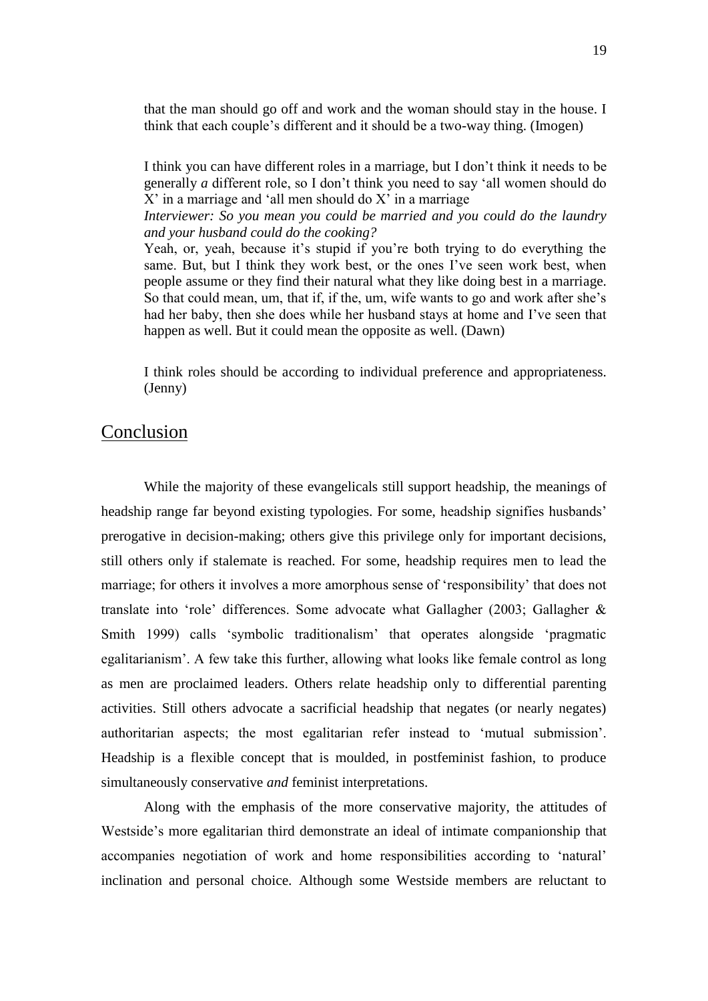that the man should go off and work and the woman should stay in the house. I think that each couple's different and it should be a two-way thing. (Imogen)

I think you can have different roles in a marriage, but I don't think it needs to be generally *a* different role, so I don't think you need to say 'all women should do  $X'$  in a marriage and 'all men should do  $X'$  in a marriage

*Interviewer: So you mean you could be married and you could do the laundry and your husband could do the cooking?*

Yeah, or, yeah, because it's stupid if you're both trying to do everything the same. But, but I think they work best, or the ones I've seen work best, when people assume or they find their natural what they like doing best in a marriage. So that could mean, um, that if, if the, um, wife wants to go and work after she's had her baby, then she does while her husband stays at home and I've seen that happen as well. But it could mean the opposite as well. (Dawn)

I think roles should be according to individual preference and appropriateness. (Jenny)

### Conclusion

While the majority of these evangelicals still support headship, the meanings of headship range far beyond existing typologies. For some, headship signifies husbands' prerogative in decision-making; others give this privilege only for important decisions, still others only if stalemate is reached. For some, headship requires men to lead the marriage; for others it involves a more amorphous sense of 'responsibility' that does not translate into 'role' differences. Some advocate what Gallagher (2003; Gallagher & Smith 1999) calls 'symbolic traditionalism' that operates alongside 'pragmatic egalitarianism'. A few take this further, allowing what looks like female control as long as men are proclaimed leaders. Others relate headship only to differential parenting activities. Still others advocate a sacrificial headship that negates (or nearly negates) authoritarian aspects; the most egalitarian refer instead to 'mutual submission'. Headship is a flexible concept that is moulded, in postfeminist fashion, to produce simultaneously conservative *and* feminist interpretations.

Along with the emphasis of the more conservative majority, the attitudes of Westside's more egalitarian third demonstrate an ideal of intimate companionship that accompanies negotiation of work and home responsibilities according to 'natural' inclination and personal choice. Although some Westside members are reluctant to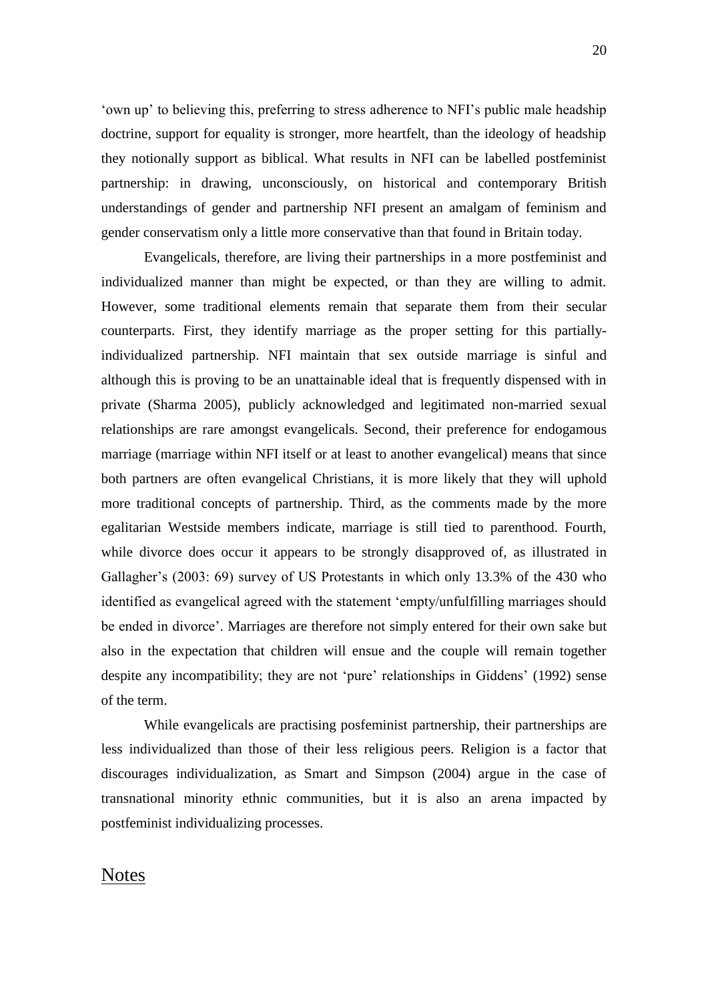'own up' to believing this, preferring to stress adherence to NFI's public male headship doctrine, support for equality is stronger, more heartfelt, than the ideology of headship they notionally support as biblical. What results in NFI can be labelled postfeminist partnership: in drawing, unconsciously, on historical and contemporary British understandings of gender and partnership NFI present an amalgam of feminism and gender conservatism only a little more conservative than that found in Britain today.

Evangelicals, therefore, are living their partnerships in a more postfeminist and individualized manner than might be expected, or than they are willing to admit. However, some traditional elements remain that separate them from their secular counterparts. First, they identify marriage as the proper setting for this partiallyindividualized partnership. NFI maintain that sex outside marriage is sinful and although this is proving to be an unattainable ideal that is frequently dispensed with in private (Sharma 2005), publicly acknowledged and legitimated non-married sexual relationships are rare amongst evangelicals. Second, their preference for endogamous marriage (marriage within NFI itself or at least to another evangelical) means that since both partners are often evangelical Christians, it is more likely that they will uphold more traditional concepts of partnership. Third, as the comments made by the more egalitarian Westside members indicate, marriage is still tied to parenthood. Fourth, while divorce does occur it appears to be strongly disapproved of, as illustrated in Gallagher's (2003: 69) survey of US Protestants in which only 13.3% of the 430 who identified as evangelical agreed with the statement 'empty/unfulfilling marriages should be ended in divorce'. Marriages are therefore not simply entered for their own sake but also in the expectation that children will ensue and the couple will remain together despite any incompatibility; they are not 'pure' relationships in Giddens' (1992) sense of the term.

While evangelicals are practising posfeminist partnership, their partnerships are less individualized than those of their less religious peers. Religion is a factor that discourages individualization, as Smart and Simpson (2004) argue in the case of transnational minority ethnic communities, but it is also an arena impacted by postfeminist individualizing processes.

#### Notes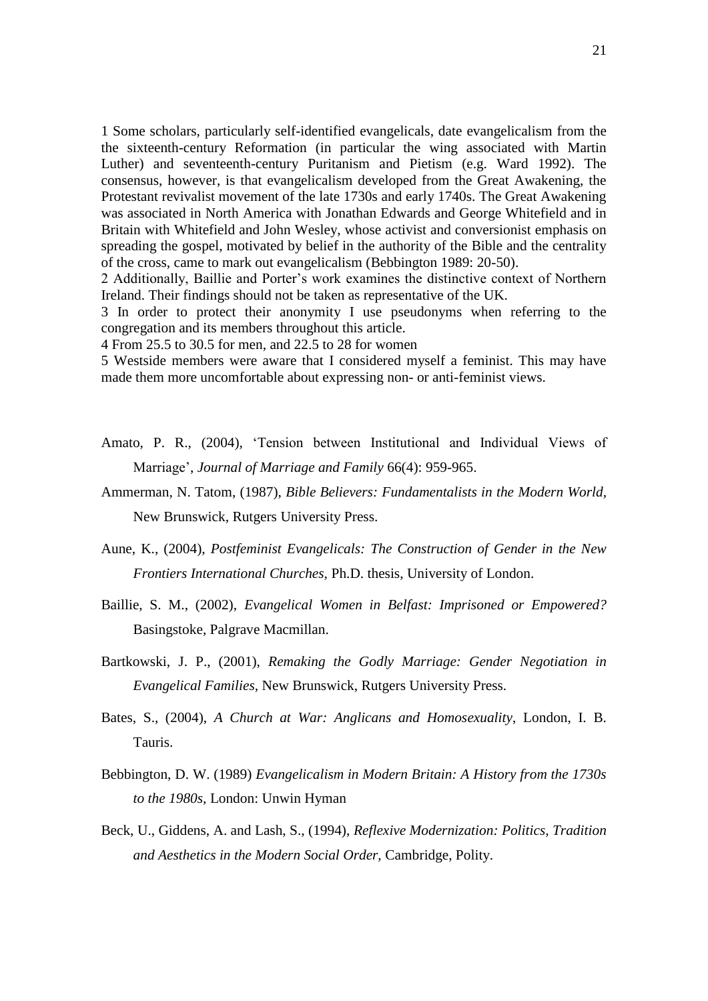1 Some scholars, particularly self-identified evangelicals, date evangelicalism from the the sixteenth-century Reformation (in particular the wing associated with Martin Luther) and seventeenth-century Puritanism and Pietism (e.g. Ward 1992). The consensus, however, is that evangelicalism developed from the Great Awakening, the Protestant revivalist movement of the late 1730s and early 1740s. The Great Awakening was associated in North America with Jonathan Edwards and George Whitefield and in Britain with Whitefield and John Wesley, whose activist and conversionist emphasis on spreading the gospel, motivated by belief in the authority of the Bible and the centrality of the cross, came to mark out evangelicalism (Bebbington 1989: 20-50).

2 Additionally, Baillie and Porter's work examines the distinctive context of Northern Ireland. Their findings should not be taken as representative of the UK.

3 In order to protect their anonymity I use pseudonyms when referring to the congregation and its members throughout this article.

4 From 25.5 to 30.5 for men, and 22.5 to 28 for women

5 Westside members were aware that I considered myself a feminist. This may have made them more uncomfortable about expressing non- or anti-feminist views.

- Amato, P. R., (2004), 'Tension between Institutional and Individual Views of Marriage', *Journal of Marriage and Family* 66(4): 959-965.
- Ammerman, N. Tatom, (1987), *Bible Believers: Fundamentalists in the Modern World,* New Brunswick, Rutgers University Press.
- Aune, K., (2004), *Postfeminist Evangelicals: The Construction of Gender in the New Frontiers International Churches,* Ph.D. thesis, University of London.
- Baillie, S. M., (2002), *Evangelical Women in Belfast: Imprisoned or Empowered?* Basingstoke, Palgrave Macmillan.
- Bartkowski, J. P., (2001), *Remaking the Godly Marriage: Gender Negotiation in Evangelical Families,* New Brunswick, Rutgers University Press.
- Bates, S., (2004), *A Church at War: Anglicans and Homosexuality*, London, I. B. Tauris.
- Bebbington, D. W. (1989) *Evangelicalism in Modern Britain: A History from the 1730s to the 1980s,* London: Unwin Hyman
- Beck, U., Giddens, A. and Lash, S., (1994), *Reflexive Modernization: Politics, Tradition and Aesthetics in the Modern Social Order,* Cambridge, Polity.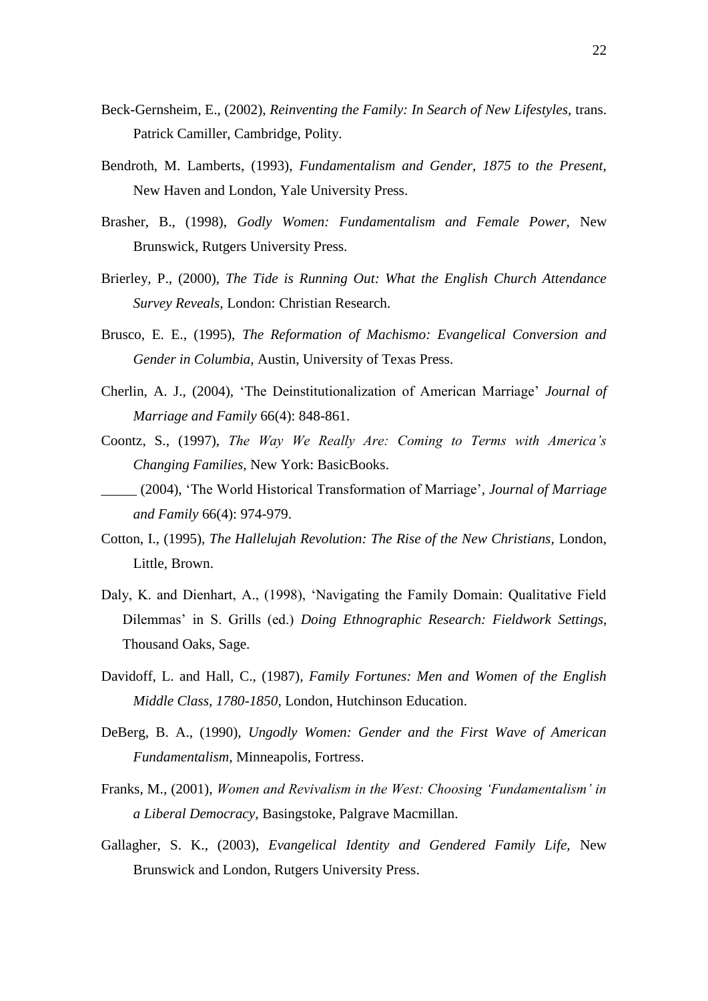- Beck-Gernsheim, E., (2002), *Reinventing the Family: In Search of New Lifestyles,* trans. Patrick Camiller, Cambridge, Polity.
- Bendroth, M. Lamberts, (1993), *Fundamentalism and Gender, 1875 to the Present,* New Haven and London, Yale University Press.
- Brasher, B., (1998), *Godly Women: Fundamentalism and Female Power,* New Brunswick, Rutgers University Press.
- Brierley, P., (2000), *The Tide is Running Out: What the English Church Attendance Survey Reveals,* London: Christian Research.
- Brusco, E. E., (1995), *The Reformation of Machismo: Evangelical Conversion and Gender in Columbia,* Austin, University of Texas Press.
- Cherlin, A. J., (2004), 'The Deinstitutionalization of American Marriage' *Journal of Marriage and Family* 66(4): 848-861.
- Coontz, S., (1997), *The Way We Really Are: Coming to Terms with America's Changing Families,* New York: BasicBooks.

\_\_\_\_\_ (2004), 'The World Historical Transformation of Marriage', *Journal of Marriage and Family* 66(4): 974-979.

- Cotton, I., (1995), *The Hallelujah Revolution: The Rise of the New Christians,* London, Little, Brown.
- Daly, K. and Dienhart, A., (1998), 'Navigating the Family Domain: Qualitative Field Dilemmas' in S. Grills (ed.) *Doing Ethnographic Research: Fieldwork Settings,* Thousand Oaks, Sage.
- Davidoff, L. and Hall, C., (1987), *Family Fortunes: Men and Women of the English Middle Class, 1780-1850,* London, Hutchinson Education.
- DeBerg, B. A., (1990), *Ungodly Women: Gender and the First Wave of American Fundamentalism,* Minneapolis, Fortress.
- Franks, M., (2001), *Women and Revivalism in the West: Choosing 'Fundamentalism' in a Liberal Democracy,* Basingstoke, Palgrave Macmillan.
- Gallagher, S. K., (2003), *Evangelical Identity and Gendered Family Life,* New Brunswick and London, Rutgers University Press.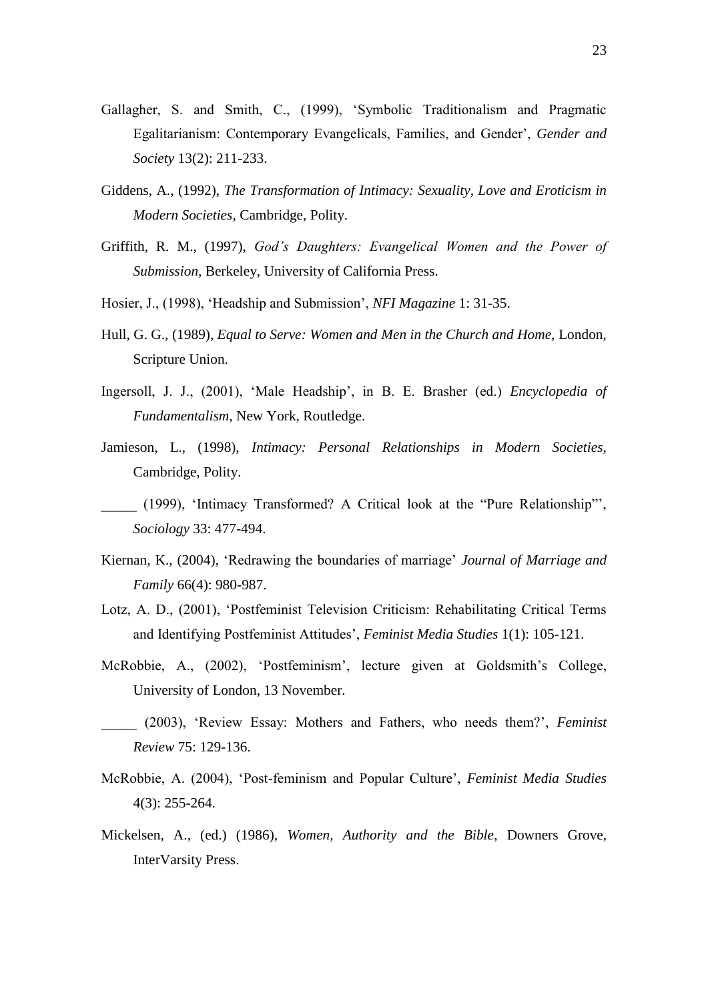- Gallagher, S. and Smith, C., (1999), 'Symbolic Traditionalism and Pragmatic Egalitarianism: Contemporary Evangelicals, Families, and Gender', *Gender and Society* 13(2): 211-233.
- Giddens, A., (1992), *The Transformation of Intimacy: Sexuality, Love and Eroticism in Modern Societies,* Cambridge, Polity.
- Griffith, R. M., (1997), *God's Daughters: Evangelical Women and the Power of Submission,* Berkeley, University of California Press.
- Hosier, J., (1998), 'Headship and Submission', *NFI Magazine* 1: 31-35.
- Hull, G. G., (1989), *Equal to Serve: Women and Men in the Church and Home,* London, Scripture Union.
- Ingersoll, J. J., (2001), 'Male Headship', in B. E. Brasher (ed.) *Encyclopedia of Fundamentalism,* New York, Routledge.
- Jamieson, L., (1998), *Intimacy: Personal Relationships in Modern Societies,*  Cambridge, Polity.
- \_\_\_\_\_ (1999), 'Intimacy Transformed? A Critical look at the "Pure Relationship"', *Sociology* 33: 477-494.
- Kiernan, K., (2004), 'Redrawing the boundaries of marriage' *Journal of Marriage and Family* 66(4): 980-987.
- Lotz, A. D., (2001), 'Postfeminist Television Criticism: Rehabilitating Critical Terms and Identifying Postfeminist Attitudes', *Feminist Media Studies* 1(1): 105-121.
- McRobbie, A., (2002), 'Postfeminism', lecture given at Goldsmith's College, University of London, 13 November.
- \_\_\_\_\_ (2003), 'Review Essay: Mothers and Fathers, who needs them?', *Feminist Review* 75: 129-136.
- McRobbie, A. (2004), 'Post-feminism and Popular Culture', *Feminist Media Studies* 4(3): 255-264.
- Mickelsen, A., (ed.) (1986), *Women, Authority and the Bible*, Downers Grove, InterVarsity Press.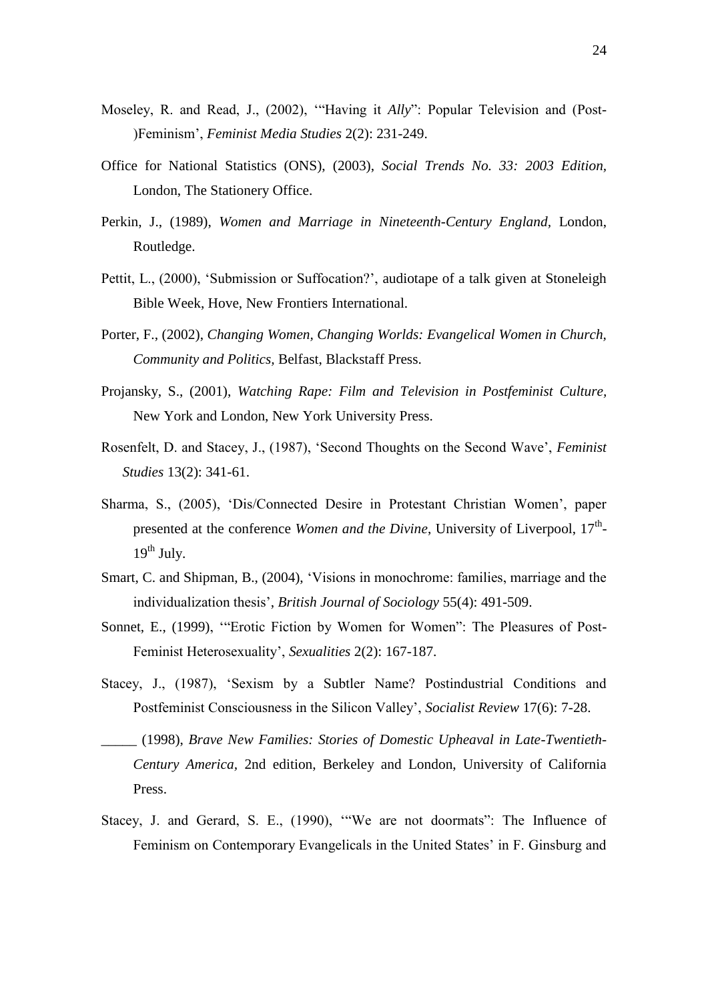- Moseley, R. and Read, J., (2002), '"Having it *Ally*": Popular Television and (Post- )Feminism', *Feminist Media Studies* 2(2): 231-249.
- Office for National Statistics (ONS), (2003), *Social Trends No. 33: 2003 Edition,* London, The Stationery Office.
- Perkin, J., (1989), *Women and Marriage in Nineteenth-Century England,* London, Routledge.
- Pettit, L., (2000), 'Submission or Suffocation?', audiotape of a talk given at Stoneleigh Bible Week, Hove, New Frontiers International.
- Porter, F., (2002), *Changing Women, Changing Worlds: Evangelical Women in Church, Community and Politics,* Belfast, Blackstaff Press.
- Projansky, S., (2001), *Watching Rape: Film and Television in Postfeminist Culture,* New York and London, New York University Press.
- Rosenfelt, D. and Stacey, J., (1987), 'Second Thoughts on the Second Wave', *Feminist Studies* 13(2): 341-61.
- Sharma, S., (2005), 'Dis/Connected Desire in Protestant Christian Women', paper presented at the conference *Women and the Divine*, University of Liverpool, 17<sup>th</sup>- $19^{th}$  July.
- Smart, C. and Shipman, B., (2004), 'Visions in monochrome: families, marriage and the individualization thesis', *British Journal of Sociology* 55(4): 491-509.
- Sonnet, E., (1999), '"Erotic Fiction by Women for Women": The Pleasures of Post-Feminist Heterosexuality', *Sexualities* 2(2): 167-187.
- Stacey, J., (1987), 'Sexism by a Subtler Name? Postindustrial Conditions and Postfeminist Consciousness in the Silicon Valley', *Socialist Review* 17(6): 7-28.
- \_\_\_\_\_ (1998), *Brave New Families: Stories of Domestic Upheaval in Late-Twentieth-Century America,* 2nd edition, Berkeley and London, University of California Press.
- Stacey, J. and Gerard, S. E., (1990), '"We are not doormats": The Influence of Feminism on Contemporary Evangelicals in the United States' in F. Ginsburg and